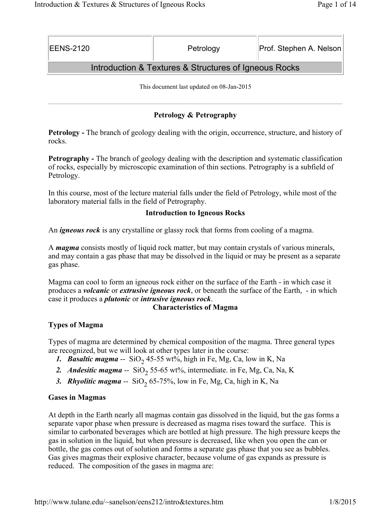| <b>EENS-2120</b> | Petrology | Prof. Stephen A. Nelson |
|------------------|-----------|-------------------------|
|                  |           |                         |

# Introduction & Textures & Structures of Igneous Rocks

This document last updated on 08-Jan-2015

# **Petrology & Petrography**

**Petrology -** The branch of geology dealing with the origin, occurrence, structure, and history of rocks.

**Petrography -** The branch of geology dealing with the description and systematic classification of rocks, especially by microscopic examination of thin sections. Petrography is a subfield of Petrology.

In this course, most of the lecture material falls under the field of Petrology, while most of the laboratory material falls in the field of Petrography.

### **Introduction to Igneous Rocks**

An *igneous rock* is any crystalline or glassy rock that forms from cooling of a magma.

A *magma* consists mostly of liquid rock matter, but may contain crystals of various minerals, and may contain a gas phase that may be dissolved in the liquid or may be present as a separate gas phase.

Magma can cool to form an igneous rock either on the surface of the Earth - in which case it produces a *volcanic* or *extrusive igneous rock*, or beneath the surface of the Earth, - in which case it produces a *plutonic* or *intrusive igneous rock*.

#### **Characteristics of Magma**

# **Types of Magma**

Types of magma are determined by chemical composition of the magma. Three general types are recognized, but we will look at other types later in the course:

- *1. Basaltic magma* --  $SiO<sub>2</sub> 45-55 wt\%, high in Fe, Mg, Ca, low in K, Na$
- 2. Andesitic magma -- SiO<sub>2</sub> 55-65 wt%, intermediate. in Fe, Mg, Ca, Na, K
- 3. *Rhyolitic magma* --  $SiO<sub>2</sub>$  65-75%, low in Fe, Mg, Ca, high in K, Na

#### **Gases in Magmas**

At depth in the Earth nearly all magmas contain gas dissolved in the liquid, but the gas forms a separate vapor phase when pressure is decreased as magma rises toward the surface. This is similar to carbonated beverages which are bottled at high pressure. The high pressure keeps the gas in solution in the liquid, but when pressure is decreased, like when you open the can or bottle, the gas comes out of solution and forms a separate gas phase that you see as bubbles. Gas gives magmas their explosive character, because volume of gas expands as pressure is reduced. The composition of the gases in magma are: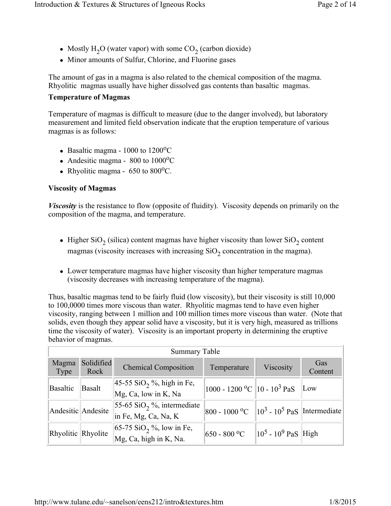- Mostly H<sub>2</sub>O (water vapor) with some CO<sub>2</sub> (carbon dioxide)
- Minor amounts of Sulfur, Chlorine, and Fluorine gases

The amount of gas in a magma is also related to the chemical composition of the magma. Rhyolitic magmas usually have higher dissolved gas contents than basaltic magmas.

### **Temperature of Magmas**

Temperature of magmas is difficult to measure (due to the danger involved), but laboratory measurement and limited field observation indicate that the eruption temperature of various magmas is as follows:

- Basaltic magma  $1000$  to  $1200^{\circ}$ C
- Andesitic magma  $800$  to  $1000^{\circ}$ C
- Rhyolitic magma  $650$  to  $800^{\circ}$ C.

# **Viscosity of Magmas**

*Viscosity* is the resistance to flow (opposite of fluidity). Viscosity depends on primarily on the composition of the magma, and temperature.

- Higher SiO<sub>2</sub> (silica) content magmas have higher viscosity than lower SiO<sub>2</sub> content magmas (viscosity increases with increasing  $SiO<sub>2</sub>$  concentration in the magma).
- Lower temperature magmas have higher viscosity than higher temperature magmas (viscosity decreases with increasing temperature of the magma).

Thus, basaltic magmas tend to be fairly fluid (low viscosity), but their viscosity is still 10,000 to 100,0000 times more viscous than water. Rhyolitic magmas tend to have even higher viscosity, ranging between 1 million and 100 million times more viscous than water. (Note that solids, even though they appear solid have a viscosity, but it is very high, measured as trillions time the viscosity of water). Viscosity is an important property in determining the eruptive behavior of magmas.

| <b>Summary Table</b> |                    |                                                                       |                                                |                          |                |
|----------------------|--------------------|-----------------------------------------------------------------------|------------------------------------------------|--------------------------|----------------|
| Magma<br>Type        | Solidified<br>Rock | <b>Chemical Composition</b>                                           | Temperature                                    | Viscosity                | Gas<br>Content |
| <b>Basaltic</b>      | <b>Basalt</b>      | $ 45-55 \text{ SiO}_2 \% $ , high in Fe,<br>Mg, Ca, low in K, Na      | 1000 - 1200 °C   10 - 10 <sup>3</sup> PaS      |                          | Low            |
| Andesitic Andesite   |                    | 55-65 SiO <sub>2</sub> %, intermediate<br>in Fe, Mg, Ca, Na, K        | 800 - 1000 °C $\ 10^3 - 10^5$ PaS Intermediate |                          |                |
| Rhyolitic Rhyolite   |                    | $ 65-75 \text{ SiO}_2 \degree$ , low in Fe,<br>Mg, Ca, high in K, Na. | $650 - 800$ °C                                 | $\ 10^5 - 10^9$ PaS High |                |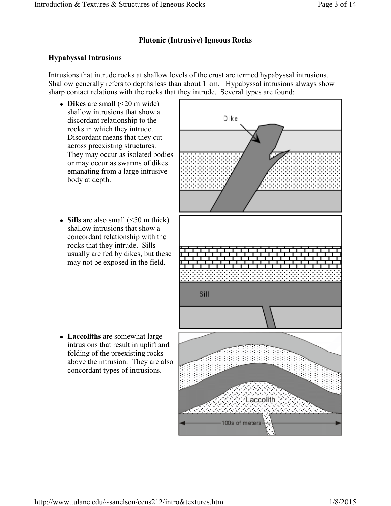# **Plutonic (Intrusive) Igneous Rocks**

# **Hypabyssal Intrusions**

Intrusions that intrude rocks at shallow levels of the crust are termed hypabyssal intrusions. Shallow generally refers to depths less than about 1 km. Hypabyssal intrusions always show sharp contact relations with the rocks that they intrude. Several types are found:

- $\bullet$  **Dikes** are small (<20 m wide) shallow intrusions that show a discordant relationship to the rocks in which they intrude. Discordant means that they cut across preexisting structures. They may occur as isolated bodies or may occur as swarms of dikes emanating from a large intrusive body at depth.
- **Sills** are also small  $(\leq 50 \text{ m thick})$ shallow intrusions that show a concordant relationship with the rocks that they intrude. Sills usually are fed by dikes, but these may not be exposed in the field.

• Laccoliths are somewhat large intrusions that result in uplift and folding of the preexisting rocks above the intrusion. They are also concordant types of intrusions.

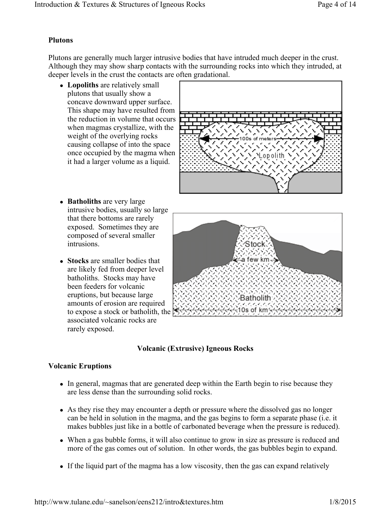### **Plutons**

Plutons are generally much larger intrusive bodies that have intruded much deeper in the crust. Although they may show sharp contacts with the surrounding rocks into which they intruded, at deeper levels in the crust the contacts are often gradational.

• Lopoliths are relatively small plutons that usually show a concave downward upper surface. This shape may have resulted from the reduction in volume that occurs when magmas crystallize, with the weight of the overlying rocks causing collapse of into the space once occupied by the magma when it had a larger volume as a liquid.



- **Batholiths** are very large intrusive bodies, usually so large that there bottoms are rarely exposed. Sometimes they are composed of several smaller intrusions.
- **Stocks** are smaller bodies that are likely fed from deeper level batholiths. Stocks may have been feeders for volcanic eruptions, but because large amounts of erosion are required to expose a stock or batholith, the associated volcanic rocks are rarely exposed.



# **Volcanic (Extrusive) Igneous Rocks**

# **Volcanic Eruptions**

- In general, magmas that are generated deep within the Earth begin to rise because they are less dense than the surrounding solid rocks.
- As they rise they may encounter a depth or pressure where the dissolved gas no longer can be held in solution in the magma, and the gas begins to form a separate phase (i.e. it makes bubbles just like in a bottle of carbonated beverage when the pressure is reduced).
- When a gas bubble forms, it will also continue to grow in size as pressure is reduced and more of the gas comes out of solution. In other words, the gas bubbles begin to expand.
- If the liquid part of the magma has a low viscosity, then the gas can expand relatively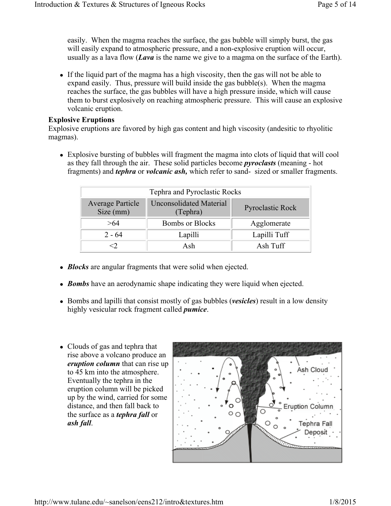easily. When the magma reaches the surface, the gas bubble will simply burst, the gas will easily expand to atmospheric pressure, and a non-explosive eruption will occur, usually as a lava flow (*Lava* is the name we give to a magma on the surface of the Earth).

If the liquid part of the magma has a high viscosity, then the gas will not be able to expand easily. Thus, pressure will build inside the gas bubble(s). When the magma reaches the surface, the gas bubbles will have a high pressure inside, which will cause them to burst explosively on reaching atmospheric pressure. This will cause an explosive volcanic eruption.

#### **Explosive Eruptions**

Explosive eruptions are favored by high gas content and high viscosity (andesitic to rhyolitic magmas).

• Explosive bursting of bubbles will fragment the magma into clots of liquid that will cool as they fall through the air. These solid particles become *pyroclasts* (meaning - hot fragments) and *tephra* or *volcanic ash,* which refer to sand- sized or smaller fragments.

| Tephra and Pyroclastic Rocks         |                                            |                         |
|--------------------------------------|--------------------------------------------|-------------------------|
| <b>Average Particle</b><br>Size (mm) | <b>Unconsolidated Material</b><br>(Tephra) | <b>Pyroclastic Rock</b> |
| >64                                  | <b>Bombs or Blocks</b>                     | Agglomerate             |
| $2 - 64$                             | Lapilli                                    | Lapilli Tuff            |
|                                      | Ash                                        | Ash Tuff                |

- *Blocks* are angular fragments that were solid when ejected.
- *Bombs* have an aerodynamic shape indicating they were liquid when ejected.
- Bombs and lapilli that consist mostly of gas bubbles (*vesicles*) result in a low density highly vesicular rock fragment called *pumice*.
- Clouds of gas and tephra that rise above a volcano produce an *eruption column* that can rise up to 45 km into the atmosphere. Eventually the tephra in the eruption column will be picked up by the wind, carried for some distance, and then fall back to the surface as a *tephra fall* or *ash fall*.

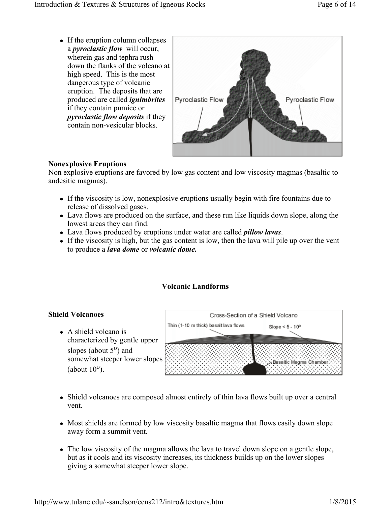• If the eruption column collapses a *pyroclastic flow* will occur, wherein gas and tephra rush down the flanks of the volcano at high speed. This is the most dangerous type of volcanic eruption. The deposits that are produced are called *ignimbrites* if they contain pumice or *pyroclastic flow deposits* if they contain non-vesicular blocks.



# **Nonexplosive Eruptions**

Non explosive eruptions are favored by low gas content and low viscosity magmas (basaltic to andesitic magmas).

- If the viscosity is low, nonexplosive eruptions usually begin with fire fountains due to release of dissolved gases.
- Lava flows are produced on the surface, and these run like liquids down slope, along the lowest areas they can find.
- Lava flows produced by eruptions under water are called *pillow lavas*.
- $\bullet$  If the viscosity is high, but the gas content is low, then the lava will pile up over the vent to produce a *lava dome* or *volcanic dome.*

# **Volcanic Landforms**

# **Shield Volcanoes**

 $\bullet$  A shield volcano is characterized by gentle upper slopes (about  $5^{\circ}$ ) and somewhat steeper lower slopes (about  $10^{\circ}$ ).



- Shield volcanoes are composed almost entirely of thin lava flows built up over a central vent.
- Most shields are formed by low viscosity basaltic magma that flows easily down slope away form a summit vent.
- The low viscosity of the magma allows the lava to travel down slope on a gentle slope, but as it cools and its viscosity increases, its thickness builds up on the lower slopes giving a somewhat steeper lower slope.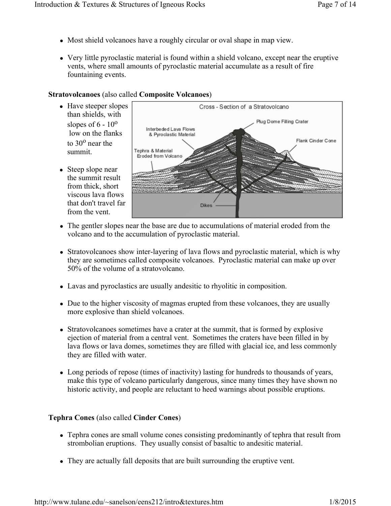- Most shield volcanoes have a roughly circular or oval shape in map view.
- Very little pyroclastic material is found within a shield volcano, except near the eruptive vents, where small amounts of pyroclastic material accumulate as a result of fire fountaining events.

# **Stratovolcanoes** (also called **Composite Volcanoes**)

- Have steeper slopes than shields, with slopes of  $6 - 10^{\circ}$  low on the flanks to  $30^{\circ}$  near the summit.
- $\bullet$  Steep slope near the summit result from thick, short viscous lava flows that don't travel far from the vent.



- The gentler slopes near the base are due to accumulations of material eroded from the volcano and to the accumulation of pyroclastic material.
- Stratovolcanoes show inter-layering of lava flows and pyroclastic material, which is why they are sometimes called composite volcanoes. Pyroclastic material can make up over 50% of the volume of a stratovolcano.
- Lavas and pyroclastics are usually andesitic to rhyolitic in composition.
- Due to the higher viscosity of magmas erupted from these volcanoes, they are usually more explosive than shield volcanoes.
- Stratovolcanoes sometimes have a crater at the summit, that is formed by explosive ejection of material from a central vent. Sometimes the craters have been filled in by lava flows or lava domes, sometimes they are filled with glacial ice, and less commonly they are filled with water.
- Long periods of repose (times of inactivity) lasting for hundreds to thousands of years, make this type of volcano particularly dangerous, since many times they have shown no historic activity, and people are reluctant to heed warnings about possible eruptions.

# **Tephra Cones** (also called **Cinder Cones**)

- Tephra cones are small volume cones consisting predominantly of tephra that result from strombolian eruptions. They usually consist of basaltic to andesitic material.
- They are actually fall deposits that are built surrounding the eruptive vent.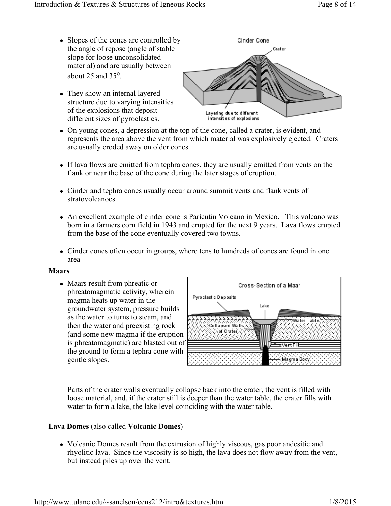different sizes of pyroclastics.

- Slopes of the cones are controlled by Cinder Cone the angle of repose (angle of stable Crater slope for loose unconsolidated material) and are usually between about  $25$  and  $35^\circ$ . • They show an internal layered structure due to varying intensities of the explosions that deposit
	- Layering due to different intensities of explosions
- On young cones, a depression at the top of the cone, called a crater, is evident, and represents the area above the vent from which material was explosively ejected. Craters are usually eroded away on older cones.
- If lava flows are emitted from tephra cones, they are usually emitted from vents on the flank or near the base of the cone during the later stages of eruption.
- Cinder and tephra cones usually occur around summit vents and flank vents of stratovolcanoes.
- An excellent example of cinder cone is Parícutin Volcano in Mexico. This volcano was born in a farmers corn field in 1943 and erupted for the next 9 years. Lava flows erupted from the base of the cone eventually covered two towns.
- Cinder cones often occur in groups, where tens to hundreds of cones are found in one area

#### **Maars**

• Maars result from phreatic or phreatomagmatic activity, wherein magma heats up water in the groundwater system, pressure builds as the water to turns to steam, and then the water and preexisting rock (and some new magma if the eruption is phreatomagmatic) are blasted out of the ground to form a tephra cone with gentle slopes.



Parts of the crater walls eventually collapse back into the crater, the vent is filled with loose material, and, if the crater still is deeper than the water table, the crater fills with water to form a lake, the lake level coinciding with the water table.

#### **Lava Domes** (also called **Volcanic Domes**)

• Volcanic Domes result from the extrusion of highly viscous, gas poor andesitic and rhyolitic lava. Since the viscosity is so high, the lava does not flow away from the vent, but instead piles up over the vent.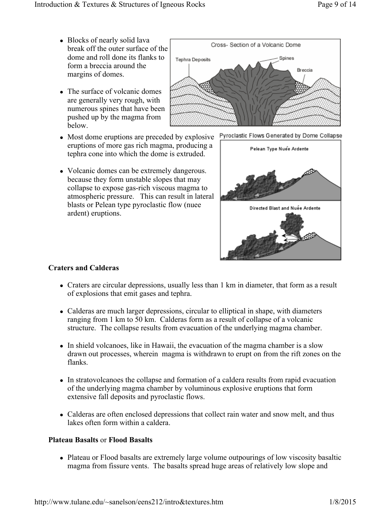- Blocks of nearly solid lava break off the outer surface of the dome and roll done its flanks to form a breccia around the margins of domes.
- The surface of volcanic domes are generally very rough, with numerous spines that have been pushed up by the magma from below.
- Most dome eruptions are preceded by explosive eruptions of more gas rich magma, producing a tephra cone into which the dome is extruded.
- Volcanic domes can be extremely dangerous. because they form unstable slopes that may collapse to expose gas-rich viscous magma to atmospheric pressure. This can result in lateral blasts or Pelean type pyroclastic flow (nuee ardent) eruptions.





Pyroclastic Flows Generated by Dome Collapse

#### **Craters and Calderas**

- Craters are circular depressions, usually less than 1 km in diameter, that form as a result of explosions that emit gases and tephra.
- Calderas are much larger depressions, circular to elliptical in shape, with diameters ranging from 1 km to 50 km. Calderas form as a result of collapse of a volcanic structure. The collapse results from evacuation of the underlying magma chamber.
- In shield volcanoes, like in Hawaii, the evacuation of the magma chamber is a slow drawn out processes, wherein magma is withdrawn to erupt on from the rift zones on the flanks.
- In stratovolcanoes the collapse and formation of a caldera results from rapid evacuation of the underlying magma chamber by voluminous explosive eruptions that form extensive fall deposits and pyroclastic flows.
- Calderas are often enclosed depressions that collect rain water and snow melt, and thus lakes often form within a caldera.

#### **Plateau Basalts** or **Flood Basalts**

• Plateau or Flood basalts are extremely large volume outpourings of low viscosity basaltic magma from fissure vents. The basalts spread huge areas of relatively low slope and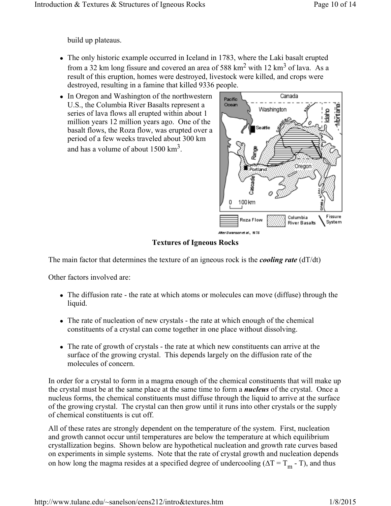build up plateaus.

- The only historic example occurred in Iceland in 1783, where the Laki basalt erupted from a 32 km long fissure and covered an area of 588 km<sup>2</sup> with 12 km<sup>3</sup> of lava. As a result of this eruption, homes were destroyed, livestock were killed, and crops were destroyed, resulting in a famine that killed 9336 people.
- In Oregon and Washington of the northwestern U.S., the Columbia River Basalts represent a series of lava flows all erupted within about 1 million years 12 million years ago. One of the basalt flows, the Roza flow, was erupted over a period of a few weeks traveled about 300 km and has a volume of about  $1500 \text{ km}^3$ .



**Textures of Igneous Rocks**

The main factor that determines the texture of an igneous rock is the *cooling rate* (dT/dt)

Other factors involved are:

- The diffusion rate the rate at which atoms or molecules can move (diffuse) through the liquid.
- The rate of nucleation of new crystals the rate at which enough of the chemical constituents of a crystal can come together in one place without dissolving.
- The rate of growth of crystals the rate at which new constituents can arrive at the surface of the growing crystal. This depends largely on the diffusion rate of the molecules of concern.

In order for a crystal to form in a magma enough of the chemical constituents that will make up the crystal must be at the same place at the same time to form a *nucleus* of the crystal. Once a nucleus forms, the chemical constituents must diffuse through the liquid to arrive at the surface of the growing crystal. The crystal can then grow until it runs into other crystals or the supply of chemical constituents is cut off.

All of these rates are strongly dependent on the temperature of the system. First, nucleation and growth cannot occur until temperatures are below the temperature at which equilibrium crystallization begins. Shown below are hypothetical nucleation and growth rate curves based on experiments in simple systems. Note that the rate of crystal growth and nucleation depends on how long the magma resides at a specified degree of undercooling ( $\Delta T = T_m$  - T), and thus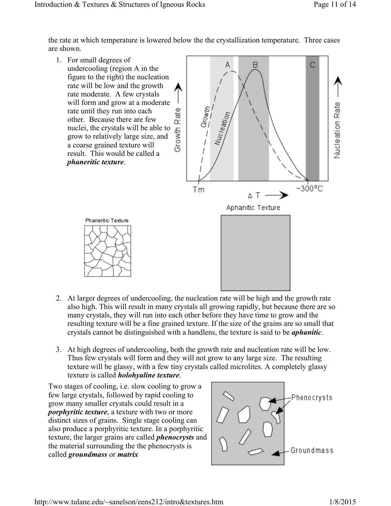the rate at which temperature is lowered below the the crystallization temperature. Three cases are shown.



- 2. At larger degrees of undercooling, the nucleation rate will be high and the growth rate also high. This will result in many crystals all growing rapidly, but because there are so many crystals, they will run into each other before they have time to grow and the resulting texture will be a fine grained texture. If the size of the grains are so small that crystals cannot be distinguished with a handlens, the texture is said to be *aphanitic*.
- 3. At high degrees of undercooling, both the growth rate and nucleation rate will be low. Thus few crystals will form and they will not grow to any large size. The resulting texture will be glassy, with a few tiny crystals called microlites. A completely glassy texture is called *holohyaline texture*.

Two stages of cooling, i.e. slow cooling to grow a few large crystals, followed by rapid cooling to grow many smaller crystals could result in a *porphyritic texture*, a texture with two or more distinct sizes of grains. Single stage cooling can also produce a porphyritic texture. In a porphyritic texture, the larger grains are called *phenocrysts* and the material surrounding the the phenocrysts is called *groundmass* or *matrix*

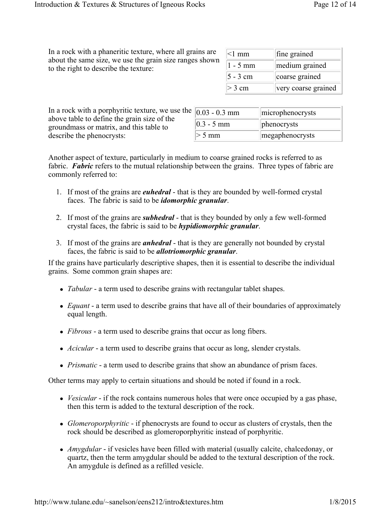In a rock with a phaneritic texture, where all grains are about the same size, we use the grain size ranges shown to the right to describe the texture:

| $\leq$ 1 mm | fine grained        |
|-------------|---------------------|
| $1 - 5$ mm  | medium grained      |
| 5 - 3 cm    | coarse grained      |
| $>$ 3 cm    | very coarse grained |

| In a rock with a porphyritic texture, we use the |
|--------------------------------------------------|
| above table to define the grain size of the      |
| ground mass or matrix, and this table to         |
| describe the phenocrysts:                        |

| $0.03 - 0.3$ mm | microphenocrysts |
|-----------------|------------------|
| $0.3 - 5$ mm    | phenocrysts      |
| $>$ 5 mm        | megaphenocrysts  |

Another aspect of texture, particularly in medium to coarse grained rocks is referred to as fabric. **Fabric** refers to the mutual relationship between the grains. Three types of fabric are commonly referred to:

- 1. If most of the grains are *euhedral* that is they are bounded by well-formed crystal faces. The fabric is said to be *idomorphic granular*.
- 2. If most of the grains are *subhedral* that is they bounded by only a few well-formed crystal faces, the fabric is said to be *hypidiomorphic granular*.
- 3. If most of the grains are *anhedral* that is they are generally not bounded by crystal faces, the fabric is said to be *allotriomorphic granular*.

If the grains have particularly descriptive shapes, then it is essential to describe the individual grains. Some common grain shapes are:

- *Tabular* a term used to describe grains with rectangular tablet shapes.
- *Equant* a term used to describe grains that have all of their boundaries of approximately equal length.
- *Fibrous* a term used to describe grains that occur as long fibers.
- *Acicular* a term used to describe grains that occur as long, slender crystals.
- *Prismatic* a term used to describe grains that show an abundance of prism faces.

Other terms may apply to certain situations and should be noted if found in a rock.

- *Vesicular* if the rock contains numerous holes that were once occupied by a gas phase, then this term is added to the textural description of the rock.
- *Glomeroporphyritic* if phenocrysts are found to occur as clusters of crystals, then the rock should be described as glomeroporphyritic instead of porphyritic.
- *Amygdular* if vesicles have been filled with material (usually calcite, chalcedonay, or quartz, then the term amygdular should be added to the textural description of the rock. An amygdule is defined as a refilled vesicle.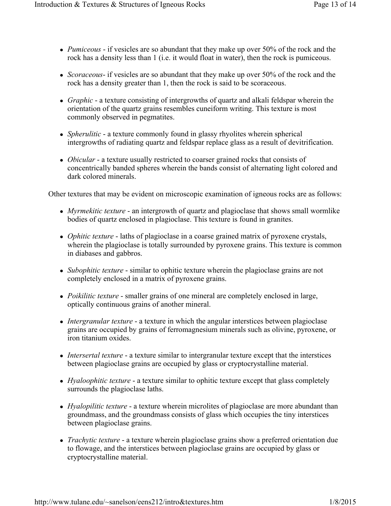- *Pumiceous* if vesicles are so abundant that they make up over 50% of the rock and the rock has a density less than 1 (i.e. it would float in water), then the rock is pumiceous.
- *Scoraceous* if vesicles are so abundant that they make up over 50% of the rock and the rock has a density greater than 1, then the rock is said to be scoraceous.
- *Graphic* a texture consisting of intergrowths of quartz and alkali feldspar wherein the orientation of the quartz grains resembles cuneiform writing. This texture is most commonly observed in pegmatites.
- *Spherulitic* a texture commonly found in glassy rhyolites wherein spherical intergrowths of radiating quartz and feldspar replace glass as a result of devitrification.
- *Obicular* a texture usually restricted to coarser grained rocks that consists of concentrically banded spheres wherein the bands consist of alternating light colored and dark colored minerals.

Other textures that may be evident on microscopic examination of igneous rocks are as follows:

- *Myrmekitic texture* an intergrowth of quartz and plagioclase that shows small wormlike bodies of quartz enclosed in plagioclase. This texture is found in granites.
- *Ophitic texture* laths of plagioclase in a coarse grained matrix of pyroxene crystals, wherein the plagioclase is totally surrounded by pyroxene grains. This texture is common in diabases and gabbros.
- *Subophitic texture* similar to ophitic texture wherein the plagioclase grains are not completely enclosed in a matrix of pyroxene grains.
- *Poikilitic texture* smaller grains of one mineral are completely enclosed in large, optically continuous grains of another mineral.
- *Intergranular texture* a texture in which the angular interstices between plagioclase grains are occupied by grains of ferromagnesium minerals such as olivine, pyroxene, or iron titanium oxides.
- *Intersertal texture* a texture similar to intergranular texture except that the interstices between plagioclase grains are occupied by glass or cryptocrystalline material.
- *Hyaloophitic texture* a texture similar to ophitic texture except that glass completely surrounds the plagioclase laths.
- *Hyalopilitic texture* a texture wherein microlites of plagioclase are more abundant than groundmass, and the groundmass consists of glass which occupies the tiny interstices between plagioclase grains.
- *Trachytic texture* a texture wherein plagioclase grains show a preferred orientation due to flowage, and the interstices between plagioclase grains are occupied by glass or cryptocrystalline material.